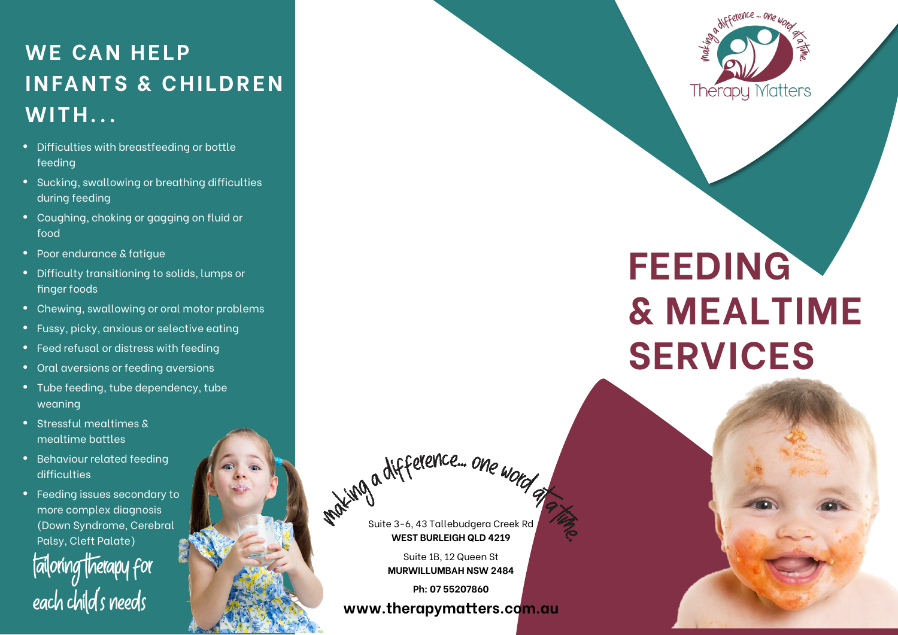## **WE CAN HELP INFANTS & CHILDREN WITH...**

- Difficulties with breastfeeding or bottle feeding
- Sucking, swallowing or breathing difficulties during feeding
- Coughing, choking or gagging on fluid or food
- Poor endurance & fatigue
- **•** Difficulty transitioning to solids, lumps or finger foods
- Chewing, swallowing or oral motor problems
- Fussy, picky, anxious or selective eating
- **•** Feed refusal or distress with feeding
- Oral aversions or feeding aversions
- **•** Tube feeding, tube dependency, tube weaning
- Stressful mealtimes & mealtime battles
- Behaviour related feeding difficulties
- Feeding issues secondary to more complex diagnosis (Down Syndrome, Cerebral Palsy, Cleft Palate)Tailoring Therapy for each child's needs



# **FEEDING & MEALTIME SERVICES**

Suite 3-6, 43 Tallebudgera Creek Rd **WEST BURLEIGH QLD 4219**

which a difference ... one word

Suite 1B, 12 Queen St **MURWILLUMBAH NSW 2484** 

**Ph: 07 55207860**

**www.therapymatters.com.au**